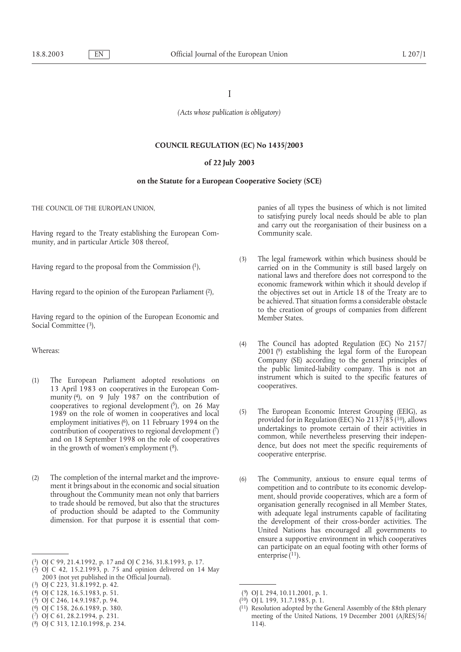I

*(Acts whose publication is obligatory)*

# **COUNCIL REGULATION (EC) No 1435/2003**

# **of 22 July 2003**

# **on the Statute for a European Cooperative Society (SCE)**

THE COUNCIL OF THE EUROPEAN UNION,

Having regard to the Treaty establishing the European Community, and in particular Article 308 thereof,

Having regard to the proposal from the Commission  $(1)$ ,

Having regard to the opinion of the European Parliament (2),

Having regard to the opinion of the European Economic and Social Committee (3),

Whereas:

- (1) The European Parliament adopted resolutions on 13 April 1983 on cooperatives in the European Community (4), on 9 July 1987 on the contribution of cooperatives to regional development  $(5)$ , on 26 May 1989 on the role of women in cooperatives and local employment initiatives (6), on 11 February 1994 on the contribution of cooperatives to regional development  $\binom{7}{1}$ and on 18 September 1998 on the role of cooperatives in the growth of women's employment  $(^8)$ .
- (2) The completion of the internal market and the improvement it brings about in the economic and social situation throughout the Community mean not only that barriers to trade should be removed, but also that the structures of production should be adapted to the Community dimension. For that purpose it is essential that com-

panies of all types the business of which is not limited to satisfying purely local needs should be able to plan and carry out the reorganisation of their business on a Community scale.

- (3) The legal framework within which business should be carried on in the Community is still based largely on national laws and therefore does not correspond to the economic framework within which it should develop if the objectives set out in Article 18 of the Treaty are to be achieved. That situation forms a considerable obstacle to the creation of groups of companies from different Member States.
- (4) The Council has adopted Regulation (EC) No 2157/ 2001 (9) establishing the legal form of the European Company (SE) according to the general principles of the public limited-liability company. This is not an instrument which is suited to the specific features of cooperatives.
- (5) The European Economic Interest Grouping (EEIG), as provided for in Regulation (EEC) No  $213\overline{7}/8\overline{5}$  (10), allows undertakings to promote certain of their activities in common, while nevertheless preserving their independence, but does not meet the specific requirements of cooperative enterprise.
- (6) The Community, anxious to ensure equal terms of competition and to contribute to its economic development, should provide cooperatives, which are a form of organisation generally recognised in all Member States, with adequate legal instruments capable of facilitating the development of their cross-border activities. The United Nations has encouraged all governments to ensure a supportive environment in which cooperatives can participate on an equal footing with other forms of enterprise  $(11)$ .

<sup>(</sup>1) OJ C 99, 21.4.1992, p. 17 and OJ C 236, 31.8.1993, p. 17.

<sup>(2)</sup> OJ C 42, 15.2.1993, p. 75 and opinion delivered on 14 May 2003 (not yet published in the Official Journal).

<sup>(3)</sup> OJ C 223, 31.8.1992, p. 42.

<sup>(4)</sup> OJ C 128, 16.5.1983, p. 51.

 $(5)$  OJ C 246, 14.9.1987, p. 94.

<sup>(6)</sup> OJ C 158, 26.6.1989, p. 380.

<sup>(</sup>7) OJ C 61, 28.2.1994, p. 231.

<sup>(8)</sup> OJ C 313, 12.10.1998, p. 234.

<sup>(9)</sup> OJ L 294, 10.11.2001, p. 1.

<sup>(10)</sup> OJ L 199, 31.7.1985, p. 1.

<sup>(11)</sup> Resolution adopted by the General Assembly of the 88th plenary meeting of the United Nations, 19 December 2001 (A/RES/56/ 114).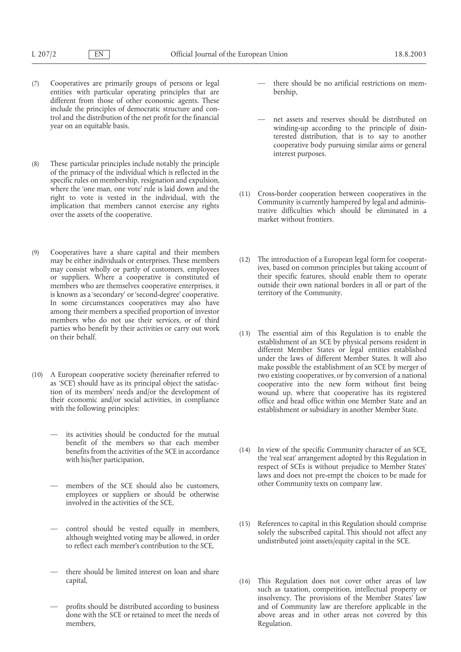- (7) Cooperatives are primarily groups of persons or legal entities with particular operating principles that are different from those of other economic agents. These include the principles of democratic structure and control and the distribution of the net profit for the financial year on an equitable basis.
- (8) These particular principles include notably the principle of the primacy of the individual which is reflected in the specific rules on membership, resignation and expulsion, where the 'one man, one vote' rule is laid down and the right to vote is vested in the individual, with the implication that members cannot exercise any rights over the assets of the cooperative.
- (9) Cooperatives have a share capital and their members may be either individuals or enterprises. These members may consist wholly or partly of customers, employees or suppliers. Where a cooperative is constituted of members who are themselves cooperative enterprises, it is known as a 'secondary' or 'second-degree' cooperative. In some circumstances cooperatives may also have among their members a specified proportion of investor members who do not use their services, or of third parties who benefit by their activities or carry out work on their behalf.
- (10) A European cooperative society (hereinafter referred to as 'SCE') should have as its principal object the satisfaction of its members' needs and/or the development of their economic and/or social activities, in compliance with the following principles:
	- its activities should be conducted for the mutual benefit of the members so that each member benefits from the activities of the SCE in accordance with his/her participation,
	- members of the SCE should also be customers, employees or suppliers or should be otherwise involved in the activities of the SCE,
	- control should be vested equally in members, although weighted voting may be allowed, in order to reflect each member's contribution to the SCE,
	- there should be limited interest on loan and share capital,
	- profits should be distributed according to business done with the SCE or retained to meet the needs of members,
- there should be no artificial restrictions on membership,
- net assets and reserves should be distributed on winding-up according to the principle of disinterested distribution, that is to say to another cooperative body pursuing similar aims or general interest purposes.
- (11) Cross-border cooperation between cooperatives in the Community is currently hampered by legal and administrative difficulties which should be eliminated in a market without frontiers.
- (12) The introduction of a European legal form for cooperatives, based on common principles but taking account of their specific features, should enable them to operate outside their own national borders in all or part of the territory of the Community.
- (13) The essential aim of this Regulation is to enable the establishment of an SCE by physical persons resident in different Member States or legal entities established under the laws of different Member States. It will also make possible the establishment of an SCE by merger of two existing cooperatives, or by conversion of a national cooperative into the new form without first being wound up, where that cooperative has its registered office and head office within one Member State and an establishment or subsidiary in another Member State.
- (14) In view of the specific Community character of an SCE, the 'real seat' arrangement adopted by this Regulation in respect of SCEs is without prejudice to Member States' laws and does not pre-empt the choices to be made for other Community texts on company law.
- (15) References to capital in this Regulation should comprise solely the subscribed capital. This should not affect any undistributed joint assets/equity capital in the SCE.
- (16) This Regulation does not cover other areas of law such as taxation, competition, intellectual property or insolvency. The provisions of the Member States' law and of Community law are therefore applicable in the above areas and in other areas not covered by this Regulation.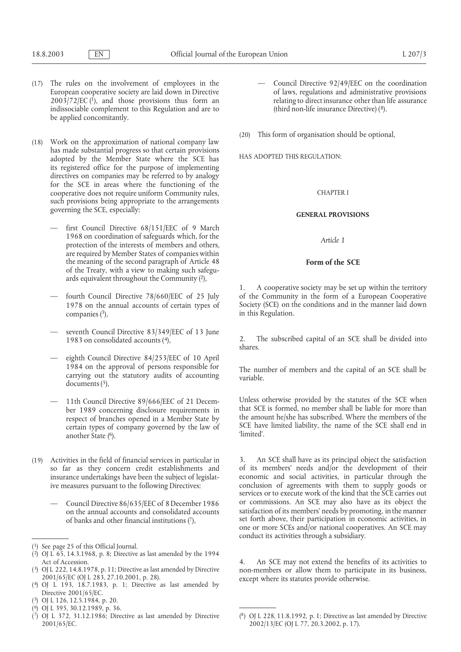- (17) The rules on the involvement of employees in the European cooperative society are laid down in Directive  $2003/72/EC$  (<sup>1</sup>), and those provisions thus form an indissociable complement to this Regulation and are to be applied concomitantly.
- (18) Work on the approximation of national company law has made substantial progress so that certain provisions adopted by the Member State where the SCE has its registered office for the purpose of implementing directives on companies may be referred to by analogy for the SCE in areas where the functioning of the cooperative does not require uniform Community rules, such provisions being appropriate to the arrangements governing the SCE, especially:
	- first Council Directive 68/151/EEC of 9 March 1968 on coordination of safeguards which, for the protection of the interests of members and others, are required by Member States of companies within the meaning of the second paragraph of Article 48 of the Treaty, with a view to making such safeguards equivalent throughout the Community (2),
	- fourth Council Directive 78/660/EEC of 25 July 1978 on the annual accounts of certain types of companies  $(3)$ ,
	- seventh Council Directive 83/349/EEC of 13 June 1983 on consolidated accounts (4),
	- eighth Council Directive 84/253/EEC of 10 April 1984 on the approval of persons responsible for carrying out the statutory audits of accounting documents (5),
	- 11th Council Directive 89/666/EEC of 21 December 1989 concerning disclosure requirements in respect of branches opened in a Member State by certain types of company governed by the law of another State (6).
- (19) Activities in the field of financial services in particular in so far as they concern credit establishments and insurance undertakings have been the subject of legislative measures pursuant to the following Directives:
	- Council Directive 86/635/EEC of 8 December 1986 on the annual accounts and consolidated accounts of banks and other financial institutions (7),

- (2) OJ L 65, 14.3.1968, p. 8; Directive as last amended by the 1994 Act of Accession.
- (3) OJ L 222, 14.8.1978, p. 11; Directive as last amended by Directive 2001/65/EC (OJ L 283, 27.10.2001, p. 28).
- (4) OJ L 193, 18.7.1983, p. 1; Directive as last amended by Directive 2001/65/EC.
- (5) OJ L 126, 12.5.1984, p. 20.
- (6) OJ L 395, 30.12.1989, p. 36.
- $(7)$  OJ L 372, 31.12.1986; Directive as last amended by Directive 2001/65/EC.
- Council Directive 92/49/EEC on the coordination of laws, regulations and administrative provisions relating to direct insurance other than life assurance (third non-life insurance Directive) (8).
- (20) This form of organisation should be optional,

HAS ADOPTED THIS REGULATION:

## CHAPTER I

#### **GENERAL PROVISIONS**

*Article 1*

# **Form of the SCE**

1. A cooperative society may be set up within the territory of the Community in the form of a European Cooperative Society (SCE) on the conditions and in the manner laid down in this Regulation.

2. The subscribed capital of an SCE shall be divided into shares.

The number of members and the capital of an SCE shall be variable.

Unless otherwise provided by the statutes of the SCE when that SCE is formed, no member shall be liable for more than the amount he/she has subscribed. Where the members of the SCE have limited liability, the name of the SCE shall end in 'limited'.

An SCE shall have as its principal object the satisfaction of its members' needs and/or the development of their economic and social activities, in particular through the conclusion of agreements with them to supply goods or services or to execute work of the kind that the SCE carries out or commissions. An SCE may also have as its object the satisfaction of its members' needs by promoting, in the manner set forth above, their participation in economic activities, in one or more SCEs and/or national cooperatives. An SCE may conduct its activities through a subsidiary.

4. An SCE may not extend the benefits of its activities to non-members or allow them to participate in its business, except where its statutes provide otherwise.

<sup>(1)</sup> See page 25 of this Official Journal.

<sup>(</sup> 8) OJ L 228, 11.8.1992, p. 1; Directive as last amended by Directive 2002/13/EC (OJ L 77, 20.3.2002, p. 17).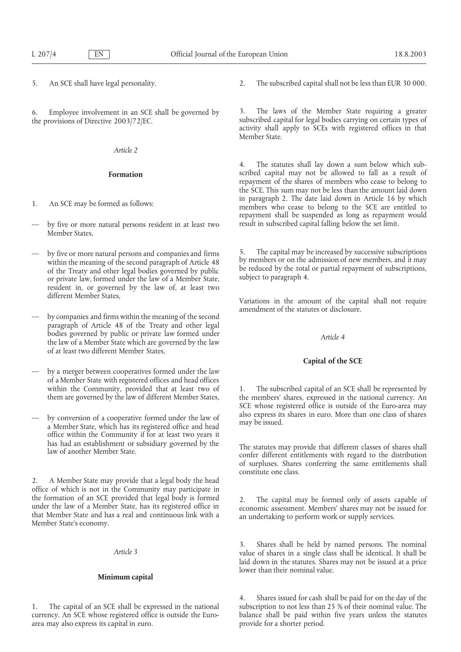5. An SCE shall have legal personality.

6. Employee involvement in an SCE shall be governed by the provisions of Directive 2003/72/EC.

*Article 2*

### **Formation**

- 1. An SCE may be formed as follows:
- by five or more natural persons resident in at least two Member States,
- by five or more natural persons and companies and firms within the meaning of the second paragraph of Article 48 of the Treaty and other legal bodies governed by public or private law, formed under the law of a Member State, resident in, or governed by the law of, at least two different Member States,
- by companies and firms within the meaning of the second paragraph of Article 48 of the Treaty and other legal bodies governed by public or private law formed under the law of a Member State which are governed by the law of at least two different Member States,
- by a merger between cooperatives formed under the law of a Member State with registered offices and head offices within the Community, provided that at least two of them are governed by the law of different Member States,
- by conversion of a cooperative formed under the law of a Member State, which has its registered office and head office within the Community if for at least two years it has had an establishment or subsidiary governed by the law of another Member State.

2. A Member State may provide that a legal body the head office of which is not in the Community may participate in the formation of an SCE provided that legal body is formed under the law of a Member State, has its registered office in that Member State and has a real and continuous link with a Member State's economy.

*Article 3*

### **Minimum capital**

1. The capital of an SCE shall be expressed in the national currency. An SCE whose registered office is outside the Euroarea may also express its capital in euro.

2. The subscribed capital shall not be less than EUR 30 000.

3. The laws of the Member State requiring a greater subscribed capital for legal bodies carrying on certain types of activity shall apply to SCEs with registered offices in that Member State.

4. The statutes shall lay down a sum below which subscribed capital may not be allowed to fall as a result of repayment of the shares of members who cease to belong to the SCE. This sum may not be less than the amount laid down in paragraph 2. The date laid down in Article 16 by which members who cease to belong to the SCE are entitled to repayment shall be suspended as long as repayment would result in subscribed capital falling below the set limit.

The capital may be increased by successive subscriptions by members or on the admission of new members, and it may be reduced by the total or partial repayment of subscriptions, subject to paragraph 4.

Variations in the amount of the capital shall not require amendment of the statutes or disclosure.

## *Article 4*

# **Capital of the SCE**

1. The subscribed capital of an SCE shall be represented by the members' shares, expressed in the national currency. An SCE whose registered office is outside of the Euro-area may also express its shares in euro. More than one class of shares may be issued.

The statutes may provide that different classes of shares shall confer different entitlements with regard to the distribution of surpluses. Shares conferring the same entitlements shall constitute one class.

2. The capital may be formed only of assets capable of economic assessment. Members' shares may not be issued for an undertaking to perform work or supply services.

3. Shares shall be held by named persons. The nominal value of shares in a single class shall be identical. It shall be laid down in the statutes. Shares may not be issued at a price lower than their nominal value.

4. Shares issued for cash shall be paid for on the day of the subscription to not less than 25 % of their nominal value. The balance shall be paid within five years unless the statutes provide for a shorter period.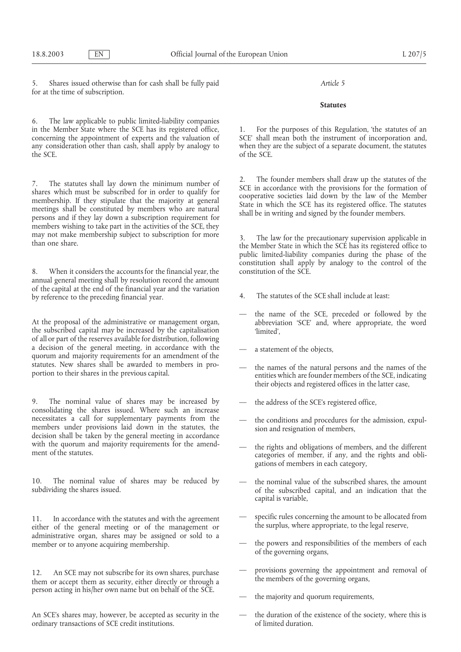5. Shares issued otherwise than for cash shall be fully paid for at the time of subscription.

6. The law applicable to public limited-liability companies in the Member State where the SCE has its registered office, concerning the appointment of experts and the valuation of any consideration other than cash, shall apply by analogy to the SCE.

7. The statutes shall lay down the minimum number of shares which must be subscribed for in order to qualify for membership. If they stipulate that the majority at general meetings shall be constituted by members who are natural persons and if they lay down a subscription requirement for members wishing to take part in the activities of the SCE, they may not make membership subject to subscription for more than one share.

8. When it considers the accounts for the financial year, the annual general meeting shall by resolution record the amount of the capital at the end of the financial year and the variation by reference to the preceding financial year.

At the proposal of the administrative or management organ, the subscribed capital may be increased by the capitalisation of all or part of the reserves available for distribution, following a decision of the general meeting, in accordance with the quorum and majority requirements for an amendment of the statutes. New shares shall be awarded to members in proportion to their shares in the previous capital.

9. The nominal value of shares may be increased by consolidating the shares issued. Where such an increase necessitates a call for supplementary payments from the members under provisions laid down in the statutes, the decision shall be taken by the general meeting in accordance with the quorum and majority requirements for the amendment of the statutes.

10. The nominal value of shares may be reduced by subdividing the shares issued.

11. In accordance with the statutes and with the agreement either of the general meeting or of the management or administrative organ, shares may be assigned or sold to a member or to anyone acquiring membership.

12. An SCE may not subscribe for its own shares, purchase them or accept them as security, either directly or through a person acting in his/her own name but on behalf of the SCE.

An SCE's shares may, however, be accepted as security in the ordinary transactions of SCE credit institutions.

*Article 5*

#### **Statutes**

1. For the purposes of this Regulation, 'the statutes of an SCE' shall mean both the instrument of incorporation and, when they are the subject of a separate document, the statutes of the SCE.

2. The founder members shall draw up the statutes of the SCE in accordance with the provisions for the formation of cooperative societies laid down by the law of the Member State in which the SCE has its registered office. The statutes shall be in writing and signed by the founder members.

3. The law for the precautionary supervision applicable in the Member State in which the SCE has its registered office to public limited-liability companies during the phase of the constitution shall apply by analogy to the control of the constitution of the SCE.

- 4. The statutes of the SCE shall include at least:
- the name of the SCE, preceded or followed by the abbreviation 'SCE' and, where appropriate, the word 'limited',
- a statement of the objects,
- the names of the natural persons and the names of the entities which are founder members of the SCE, indicating their objects and registered offices in the latter case,
- the address of the SCE's registered office,
- the conditions and procedures for the admission, expulsion and resignation of members,
- the rights and obligations of members, and the different categories of member, if any, and the rights and obligations of members in each category,
- the nominal value of the subscribed shares, the amount of the subscribed capital, and an indication that the capital is variable,
- specific rules concerning the amount to be allocated from the surplus, where appropriate, to the legal reserve,
- the powers and responsibilities of the members of each of the governing organs,
- provisions governing the appointment and removal of the members of the governing organs,
- the majority and quorum requirements,
- the duration of the existence of the society, where this is of limited duration.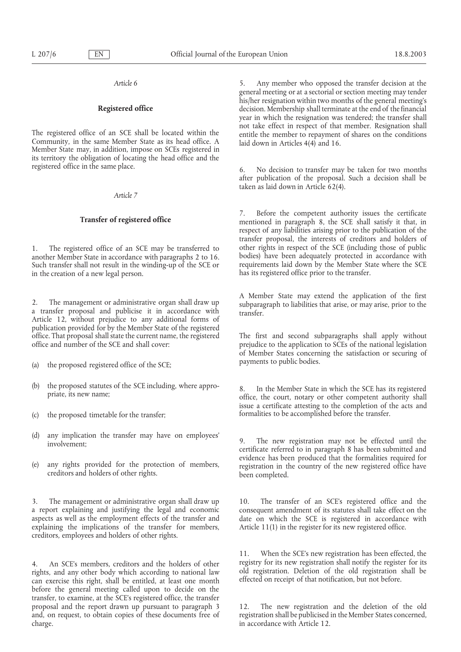# **Registered office**

The registered office of an SCE shall be located within the Community, in the same Member State as its head office. A Member State may, in addition, impose on SCEs registered in its territory the obligation of locating the head office and the registered office in the same place.

### *Article 7*

# **Transfer of registered office**

1. The registered office of an SCE may be transferred to another Member State in accordance with paragraphs 2 to 16. Such transfer shall not result in the winding-up of the SCE or in the creation of a new legal person.

2. The management or administrative organ shall draw up a transfer proposal and publicise it in accordance with Article 12, without prejudice to any additional forms of publication provided for by the Member State of the registered office. That proposal shall state the current name, the registered office and number of the SCE and shall cover:

- (a) the proposed registered office of the SCE;
- (b) the proposed statutes of the SCE including, where appropriate, its new name;
- (c) the proposed timetable for the transfer;
- (d) any implication the transfer may have on employees' involvement;
- (e) any rights provided for the protection of members, creditors and holders of other rights.

3. The management or administrative organ shall draw up a report explaining and justifying the legal and economic aspects as well as the employment effects of the transfer and explaining the implications of the transfer for members, creditors, employees and holders of other rights.

4. An SCE's members, creditors and the holders of other rights, and any other body which according to national law can exercise this right, shall be entitled, at least one month before the general meeting called upon to decide on the transfer, to examine, at the SCE's registered office, the transfer proposal and the report drawn up pursuant to paragraph 3 and, on request, to obtain copies of these documents free of charge.

5. Any member who opposed the transfer decision at the general meeting or at a sectorial or section meeting may tender his/her resignation within two months of the general meeting's decision. Membership shall terminate at the end of the financial year in which the resignation was tendered; the transfer shall not take effect in respect of that member. Resignation shall entitle the member to repayment of shares on the conditions laid down in Articles 4(4) and 16.

6. No decision to transfer may be taken for two months after publication of the proposal. Such a decision shall be taken as laid down in Article 62(4).

7. Before the competent authority issues the certificate mentioned in paragraph 8, the SCE shall satisfy it that, in respect of any liabilities arising prior to the publication of the transfer proposal, the interests of creditors and holders of other rights in respect of the SCE (including those of public bodies) have been adequately protected in accordance with requirements laid down by the Member State where the SCE has its registered office prior to the transfer.

A Member State may extend the application of the first subparagraph to liabilities that arise, or may arise, prior to the transfer.

The first and second subparagraphs shall apply without prejudice to the application to SCEs of the national legislation of Member States concerning the satisfaction or securing of payments to public bodies.

8. In the Member State in which the SCE has its registered office, the court, notary or other competent authority shall issue a certificate attesting to the completion of the acts and formalities to be accomplished before the transfer.

9. The new registration may not be effected until the certificate referred to in paragraph 8 has been submitted and evidence has been produced that the formalities required for registration in the country of the new registered office have been completed.

10. The transfer of an SCE's registered office and the consequent amendment of its statutes shall take effect on the date on which the SCE is registered in accordance with Article 11(1) in the register for its new registered office.

11. When the SCE's new registration has been effected, the registry for its new registration shall notify the register for its old registration. Deletion of the old registration shall be effected on receipt of that notification, but not before.

12. The new registration and the deletion of the old registration shall be publicised in the Member States concerned, in accordance with Article 12.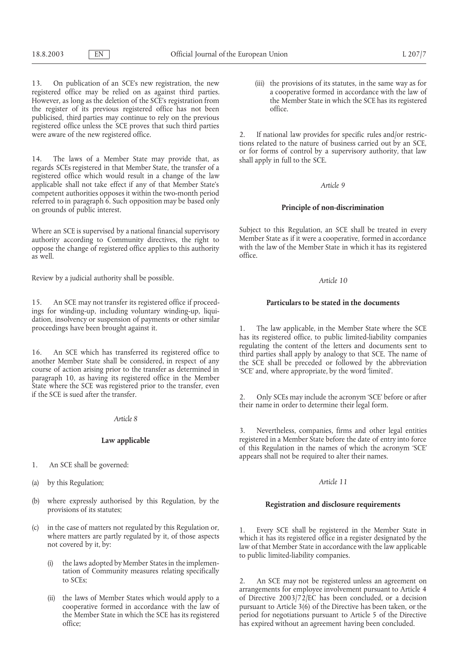13. On publication of an SCE's new registration, the new registered office may be relied on as against third parties. However, as long as the deletion of the SCE's registration from the register of its previous registered office has not been publicised, third parties may continue to rely on the previous registered office unless the SCE proves that such third parties were aware of the new registered office.

14. The laws of a Member State may provide that, as regards SCEs registered in that Member State, the transfer of a registered office which would result in a change of the law applicable shall not take effect if any of that Member State's competent authorities opposes it within the two-month period referred to in paragraph 6. Such opposition may be based only on grounds of public interest.

Where an SCE is supervised by a national financial supervisory authority according to Community directives, the right to oppose the change of registered office applies to this authority as well.

Review by a judicial authority shall be possible.

15. An SCE may not transfer its registered office if proceedings for winding-up, including voluntary winding-up, liquidation, insolvency or suspension of payments or other similar proceedings have been brought against it.

16. An SCE which has transferred its registered office to another Member State shall be considered, in respect of any course of action arising prior to the transfer as determined in paragraph 10, as having its registered office in the Member State where the SCE was registered prior to the transfer, even if the SCE is sued after the transfer.

### *Article 8*

#### **Law applicable**

- 1. An SCE shall be governed:
- (a) by this Regulation;
- (b) where expressly authorised by this Regulation, by the provisions of its statutes;
- (c) in the case of matters not regulated by this Regulation or, where matters are partly regulated by it, of those aspects not covered by it, by:
	- (i) the laws adopted by Member States in the implementation of Community measures relating specifically to SCEs;
	- (ii) the laws of Member States which would apply to a cooperative formed in accordance with the law of the Member State in which the SCE has its registered office;

(iii) the provisions of its statutes, in the same way as for a cooperative formed in accordance with the law of the Member State in which the SCE has its registered office.

2. If national law provides for specific rules and/or restrictions related to the nature of business carried out by an SCE, or for forms of control by a supervisory authority, that law shall apply in full to the SCE.

## *Article 9*

# **Principle of non-discrimination**

Subject to this Regulation, an SCE shall be treated in every Member State as if it were a cooperative, formed in accordance with the law of the Member State in which it has its registered office.

# *Article 10*

# **Particulars to be stated in the documents**

1. The law applicable, in the Member State where the SCE has its registered office, to public limited-liability companies regulating the content of the letters and documents sent to third parties shall apply by analogy to that SCE. The name of the SCE shall be preceded or followed by the abbreviation 'SCE' and, where appropriate, by the word 'limited'.

2. Only SCEs may include the acronym 'SCE' before or after their name in order to determine their legal form.

3. Nevertheless, companies, firms and other legal entities registered in a Member State before the date of entry into force of this Regulation in the names of which the acronym 'SCE' appears shall not be required to alter their names.

#### *Article 11*

## **Registration and disclosure requirements**

Every SCE shall be registered in the Member State in which it has its registered office in a register designated by the law of that Member State in accordance with the law applicable to public limited-liability companies.

2. An SCE may not be registered unless an agreement on arrangements for employee involvement pursuant to Article 4 of Directive 2003/72/EC has been concluded, or a decision pursuant to Article 3(6) of the Directive has been taken, or the period for negotiations pursuant to Article 5 of the Directive has expired without an agreement having been concluded.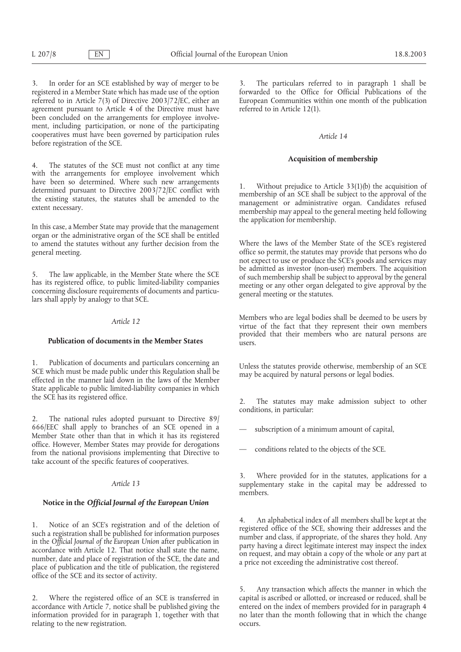3. In order for an SCE established by way of merger to be registered in a Member State which has made use of the option referred to in Article 7(3) of Directive 2003/72/EC, either an agreement pursuant to Article 4 of the Directive must have been concluded on the arrangements for employee involvement, including participation, or none of the participating cooperatives must have been governed by participation rules before registration of the SCE.

4. The statutes of the SCE must not conflict at any time with the arrangements for employee involvement which have been so determined. Where such new arrangements determined pursuant to Directive 2003/72/EC conflict with the existing statutes, the statutes shall be amended to the extent necessary.

In this case, a Member State may provide that the management organ or the administrative organ of the SCE shall be entitled to amend the statutes without any further decision from the general meeting.

5. The law applicable, in the Member State where the SCE has its registered office, to public limited-liability companies concerning disclosure requirements of documents and particulars shall apply by analogy to that SCE.

## *Article 12*

#### **Publication of documents in the Member States**

1. Publication of documents and particulars concerning an SCE which must be made public under this Regulation shall be effected in the manner laid down in the laws of the Member State applicable to public limited-liability companies in which the SCE has its registered office.

2. The national rules adopted pursuant to Directive 89/ 666/EEC shall apply to branches of an SCE opened in a Member State other than that in which it has its registered office. However, Member States may provide for derogations from the national provisions implementing that Directive to take account of the specific features of cooperatives.

## *Article 13*

## **Notice in the** *Official Journal of the European Union*

1. Notice of an SCE's registration and of the deletion of such a registration shall be published for information purposes in the *Official Journal of the European Union* after publication in accordance with Article 12. That notice shall state the name, number, date and place of registration of the SCE, the date and place of publication and the title of publication, the registered office of the SCE and its sector of activity.

2. Where the registered office of an SCE is transferred in accordance with Article 7, notice shall be published giving the information provided for in paragraph 1, together with that relating to the new registration.

3. The particulars referred to in paragraph 1 shall be forwarded to the Office for Official Publications of the European Communities within one month of the publication referred to in Article 12(1).

#### *Article 14*

### **Acquisition of membership**

1. Without prejudice to Article 33(1)(b) the acquisition of membership of an SCE shall be subject to the approval of the management or administrative organ. Candidates refused membership may appeal to the general meeting held following the application for membership.

Where the laws of the Member State of the SCE's registered office so permit, the statutes may provide that persons who do not expect to use or produce the SCE's goods and services may be admitted as investor (non-user) members. The acquisition of such membership shall be subject to approval by the general meeting or any other organ delegated to give approval by the general meeting or the statutes.

Members who are legal bodies shall be deemed to be users by virtue of the fact that they represent their own members provided that their members who are natural persons are users.

Unless the statutes provide otherwise, membership of an SCE may be acquired by natural persons or legal bodies.

The statutes may make admission subject to other conditions, in particular:

- subscription of a minimum amount of capital,
- conditions related to the objects of the SCE.

Where provided for in the statutes, applications for a supplementary stake in the capital may be addressed to members.

4. An alphabetical index of all members shall be kept at the registered office of the SCE, showing their addresses and the number and class, if appropriate, of the shares they hold. Any party having a direct legitimate interest may inspect the index on request, and may obtain a copy of the whole or any part at a price not exceeding the administrative cost thereof.

5. Any transaction which affects the manner in which the capital is ascribed or allotted, or increased or reduced, shall be entered on the index of members provided for in paragraph 4 no later than the month following that in which the change occurs.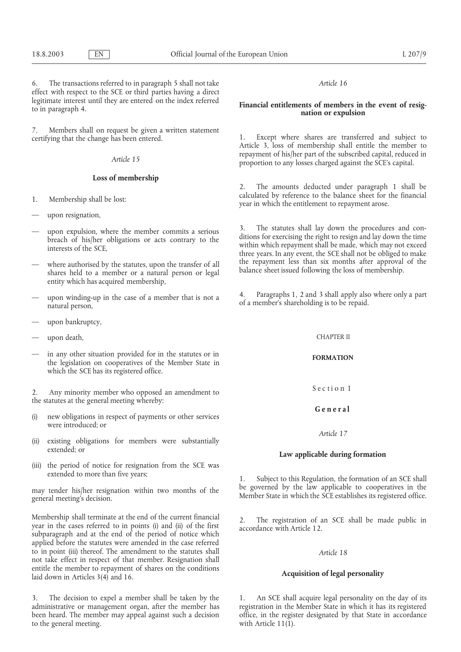6. The transactions referred to in paragraph 5 shall not take effect with respect to the SCE or third parties having a direct legitimate interest until they are entered on the index referred to in paragraph 4.

7. Members shall on request be given a written statement certifying that the change has been entered.

## *Article 15*

### **Loss of membership**

- 1. Membership shall be lost:
- upon resignation,
- upon expulsion, where the member commits a serious breach of his/her obligations or acts contrary to the interests of the SCE,
- where authorised by the statutes, upon the transfer of all shares held to a member or a natural person or legal entity which has acquired membership,
- upon winding-up in the case of a member that is not a natural person,
- upon bankruptcy,
- upon death,
- in any other situation provided for in the statutes or in the legislation on cooperatives of the Member State in which the SCE has its registered office.

2. Any minority member who opposed an amendment to the statutes at the general meeting whereby:

- (i) new obligations in respect of payments or other services were introduced; or
- (ii) existing obligations for members were substantially extended; or
- (iii) the period of notice for resignation from the SCE was extended to more than five years;

may tender his/her resignation within two months of the general meeting's decision.

Membership shall terminate at the end of the current financial year in the cases referred to in points (i) and (ii) of the first subparagraph and at the end of the period of notice which applied before the statutes were amended in the case referred to in point (iii) thereof. The amendment to the statutes shall not take effect in respect of that member. Resignation shall entitle the member to repayment of shares on the conditions laid down in Articles 3(4) and 16.

3. The decision to expel a member shall be taken by the administrative or management organ, after the member has been heard. The member may appeal against such a decision to the general meeting.

# *Article 16*

### **Financial entitlements of members in the event of resignation or expulsion**

1. Except where shares are transferred and subject to Article 3, loss of membership shall entitle the member to repayment of his/her part of the subscribed capital, reduced in proportion to any losses charged against the SCE's capital.

2. The amounts deducted under paragraph 1 shall be calculated by reference to the balance sheet for the financial year in which the entitlement to repayment arose.

3. The statutes shall lay down the procedures and conditions for exercising the right to resign and lay down the time within which repayment shall be made, which may not exceed three years. In any event, the SCE shall not be obliged to make the repayment less than six months after approval of the balance sheet issued following the loss of membership.

Paragraphs 1, 2 and 3 shall apply also where only a part of a member's shareholding is to be repaid.

#### CHAPTER II

## **FORMATION**

Sec tion 1

### **General**

*Article 17*

## **Law applicable during formation**

1. Subject to this Regulation, the formation of an SCE shall be governed by the law applicable to cooperatives in the Member State in which the SCE establishes its registered office.

2. The registration of an SCE shall be made public in accordance with Article 12.

#### *Article 18*

#### **Acquisition of legal personality**

1. An SCE shall acquire legal personality on the day of its registration in the Member State in which it has its registered office, in the register designated by that State in accordance with Article 11(1).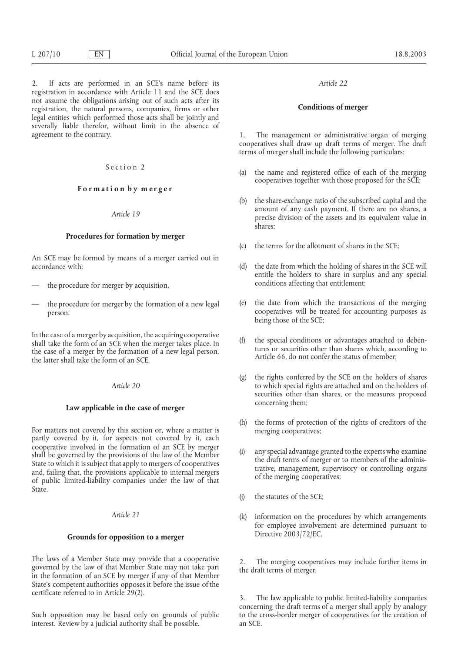2. If acts are performed in an SCE's name before its registration in accordance with Article 11 and the SCE does not assume the obligations arising out of such acts after its registration, the natural persons, companies, firms or other legal entities which performed those acts shall be jointly and severally liable therefor, without limit in the absence of agreement to the contrary.

# Section 2

## **Formati on by merger**

# *Article 19*

#### **Procedures for formation by merger**

An SCE may be formed by means of a merger carried out in accordance with:

- the procedure for merger by acquisition,
- the procedure for merger by the formation of a new legal person.

In the case of a merger by acquisition, the acquiring cooperative shall take the form of an SCE when the merger takes place. In the case of a merger by the formation of a new legal person, the latter shall take the form of an SCE.

# *Article 20*

#### **Law applicable in the case of merger**

For matters not covered by this section or, where a matter is partly covered by it, for aspects not covered by it, each cooperative involved in the formation of an SCE by merger shall be governed by the provisions of the law of the Member State to which it is subject that apply to mergers of cooperatives and, failing that, the provisions applicable to internal mergers of public limited-liability companies under the law of that State.

### *Article 21*

# **Grounds for opposition to a merger**

The laws of a Member State may provide that a cooperative governed by the law of that Member State may not take part in the formation of an SCE by merger if any of that Member State's competent authorities opposes it before the issue of the certificate referred to in Article 29(2).

Such opposition may be based only on grounds of public interest. Review by a judicial authority shall be possible.

# *Article 22*

## **Conditions of merger**

1. The management or administrative organ of merging cooperatives shall draw up draft terms of merger. The draft terms of merger shall include the following particulars:

- (a) the name and registered office of each of the merging cooperatives together with those proposed for the SCE;
- (b) the share-exchange ratio of the subscribed capital and the amount of any cash payment. If there are no shares, a precise division of the assets and its equivalent value in shares;
- (c) the terms for the allotment of shares in the SCE;
- (d) the date from which the holding of shares in the SCE will entitle the holders to share in surplus and any special conditions affecting that entitlement;
- (e) the date from which the transactions of the merging cooperatives will be treated for accounting purposes as being those of the SCE;
- (f) the special conditions or advantages attached to debentures or securities other than shares which, according to Article 66, do not confer the status of member;
- (g) the rights conferred by the SCE on the holders of shares to which special rights are attached and on the holders of securities other than shares, or the measures proposed concerning them;
- (h) the forms of protection of the rights of creditors of the merging cooperatives;
- (i) any special advantage granted to the experts who examine the draft terms of merger or to members of the administrative, management, supervisory or controlling organs of the merging cooperatives;
- (j) the statutes of the SCE;
- (k) information on the procedures by which arrangements for employee involvement are determined pursuant to Directive 2003/72/EC.

2. The merging cooperatives may include further items in the draft terms of merger.

3. The law applicable to public limited-liability companies concerning the draft terms of a merger shall apply by analogy to the cross-border merger of cooperatives for the creation of an SCE.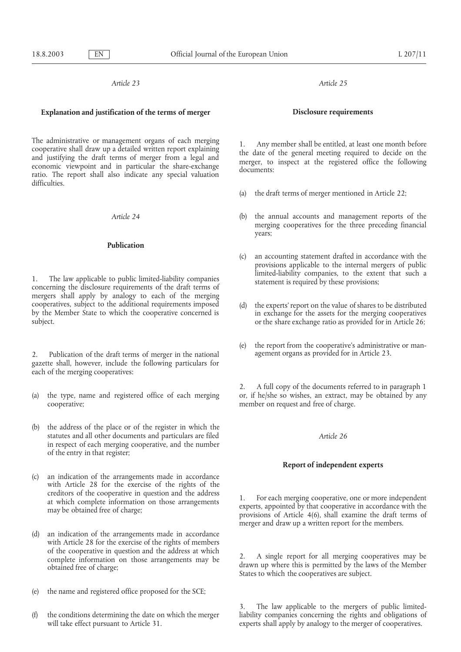## **Explanation and justification of the terms of merger**

The administrative or management organs of each merging cooperative shall draw up a detailed written report explaining and justifying the draft terms of merger from a legal and economic viewpoint and in particular the share-exchange ratio. The report shall also indicate any special valuation difficulties.

### *Article 24*

#### **Publication**

1. The law applicable to public limited-liability companies concerning the disclosure requirements of the draft terms of mergers shall apply by analogy to each of the merging cooperatives, subject to the additional requirements imposed by the Member State to which the cooperative concerned is subject.

2. Publication of the draft terms of merger in the national gazette shall, however, include the following particulars for each of the merging cooperatives:

- (a) the type, name and registered office of each merging cooperative;
- (b) the address of the place or of the register in which the statutes and all other documents and particulars are filed in respect of each merging cooperative, and the number of the entry in that register;
- (c) an indication of the arrangements made in accordance with Article 28 for the exercise of the rights of the creditors of the cooperative in question and the address at which complete information on those arrangements may be obtained free of charge;
- (d) an indication of the arrangements made in accordance with Article 28 for the exercise of the rights of members of the cooperative in question and the address at which complete information on those arrangements may be obtained free of charge;
- (e) the name and registered office proposed for the SCE;
- (f) the conditions determining the date on which the merger will take effect pursuant to Article 31.

*Article 25*

## **Disclosure requirements**

1. Any member shall be entitled, at least one month before the date of the general meeting required to decide on the merger, to inspect at the registered office the following documents:

- (a) the draft terms of merger mentioned in Article 22;
- (b) the annual accounts and management reports of the merging cooperatives for the three preceding financial years;
- (c) an accounting statement drafted in accordance with the provisions applicable to the internal mergers of public limited-liability companies, to the extent that such a statement is required by these provisions;
- (d) the experts' report on the value of shares to be distributed in exchange for the assets for the merging cooperatives or the share exchange ratio as provided for in Article 26;
- (e) the report from the cooperative's administrative or management organs as provided for in Article 23.

2. A full copy of the documents referred to in paragraph 1 or, if he/she so wishes, an extract, may be obtained by any member on request and free of charge.

## *Article 26*

#### **Report of independent experts**

1. For each merging cooperative, one or more independent experts, appointed by that cooperative in accordance with the provisions of Article 4(6), shall examine the draft terms of merger and draw up a written report for the members.

2. A single report for all merging cooperatives may be drawn up where this is permitted by the laws of the Member States to which the cooperatives are subject.

The law applicable to the mergers of public limitedliability companies concerning the rights and obligations of experts shall apply by analogy to the merger of cooperatives.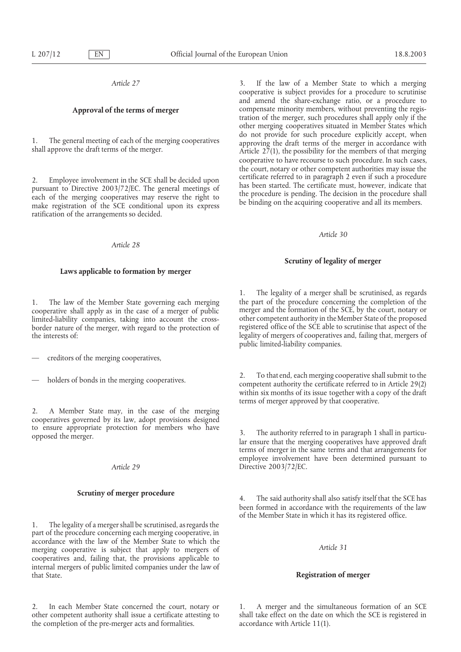## **Approval of the terms of merger**

1. The general meeting of each of the merging cooperatives shall approve the draft terms of the merger.

2. Employee involvement in the SCE shall be decided upon pursuant to Directive 2003/72/EC. The general meetings of each of the merging cooperatives may reserve the right to make registration of the SCE conditional upon its express ratification of the arrangements so decided.

#### *Article 28*

#### **Laws applicable to formation by merger**

1. The law of the Member State governing each merging cooperative shall apply as in the case of a merger of public limited-liability companies, taking into account the crossborder nature of the merger, with regard to the protection of the interests of:

— creditors of the merging cooperatives,

holders of bonds in the merging cooperatives.

2. A Member State may, in the case of the merging cooperatives governed by its law, adopt provisions designed to ensure appropriate protection for members who have opposed the merger.

#### *Article 29*

#### **Scrutiny of merger procedure**

1. The legality of a merger shall be scrutinised, as regards the part of the procedure concerning each merging cooperative, in accordance with the law of the Member State to which the merging cooperative is subject that apply to mergers of cooperatives and, failing that, the provisions applicable to internal mergers of public limited companies under the law of that State.

2. In each Member State concerned the court, notary or other competent authority shall issue a certificate attesting to the completion of the pre-merger acts and formalities.

3. If the law of a Member State to which a merging cooperative is subject provides for a procedure to scrutinise and amend the share-exchange ratio, or a procedure to compensate minority members, without preventing the registration of the merger, such procedures shall apply only if the other merging cooperatives situated in Member States which do not provide for such procedure explicitly accept, when approving the draft terms of the merger in accordance with Article  $27(1)$ , the possibility for the members of that merging cooperative to have recourse to such procedure. In such cases, the court, notary or other competent authorities may issue the certificate referred to in paragraph 2 even if such a procedure has been started. The certificate must, however, indicate that the procedure is pending. The decision in the procedure shall be binding on the acquiring cooperative and all its members.

#### *Article 30*

## **Scrutiny of legality of merger**

1. The legality of a merger shall be scrutinised, as regards the part of the procedure concerning the completion of the merger and the formation of the SCE, by the court, notary or other competent authority in the Member State of the proposed registered office of the SCE able to scrutinise that aspect of the legality of mergers of cooperatives and, failing that, mergers of public limited-liability companies.

2. To that end, each merging cooperative shall submit to the competent authority the certificate referred to in Article 29(2) within six months of its issue together with a copy of the draft terms of merger approved by that cooperative.

3. The authority referred to in paragraph 1 shall in particular ensure that the merging cooperatives have approved draft terms of merger in the same terms and that arrangements for employee involvement have been determined pursuant to Directive 2003/72/EC.

4. The said authority shall also satisfy itself that the SCE has been formed in accordance with the requirements of the law of the Member State in which it has its registered office.

### *Article 31*

## **Registration of merger**

1. A merger and the simultaneous formation of an SCE shall take effect on the date on which the SCE is registered in accordance with Article 11(1).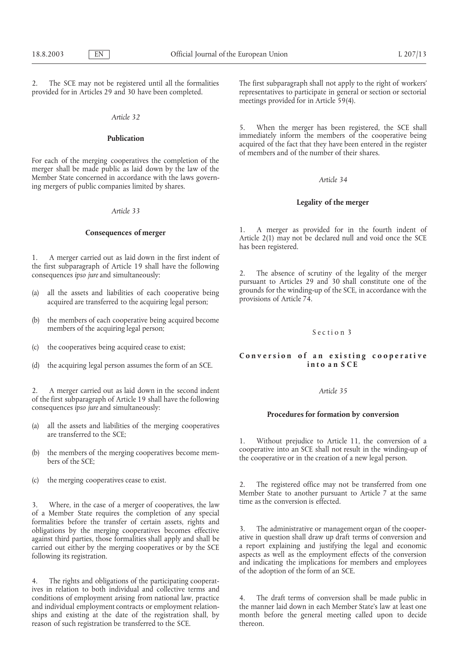2. The SCE may not be registered until all the formalities provided for in Articles 29 and 30 have been completed.

# *Article 32*

#### **Publication**

For each of the merging cooperatives the completion of the merger shall be made public as laid down by the law of the Member State concerned in accordance with the laws governing mergers of public companies limited by shares.

## *Article 33*

# **Consequences of merger**

1. A merger carried out as laid down in the first indent of the first subparagraph of Article 19 shall have the following consequences *ipso jure* and simultaneously:

- (a) all the assets and liabilities of each cooperative being acquired are transferred to the acquiring legal person;
- (b) the members of each cooperative being acquired become members of the acquiring legal person;
- (c) the cooperatives being acquired cease to exist;
- (d) the acquiring legal person assumes the form of an SCE.

2. A merger carried out as laid down in the second indent of the first subparagraph of Article 19 shall have the following consequences *ipso jure* and simultaneously:

- (a) all the assets and liabilities of the merging cooperatives are transferred to the SCE;
- (b) the members of the merging cooperatives become members of the SCE;
- (c) the merging cooperatives cease to exist.

3. Where, in the case of a merger of cooperatives, the law of a Member State requires the completion of any special formalities before the transfer of certain assets, rights and obligations by the merging cooperatives becomes effective against third parties, those formalities shall apply and shall be carried out either by the merging cooperatives or by the SCE following its registration.

4. The rights and obligations of the participating cooperatives in relation to both individual and collective terms and conditions of employment arising from national law, practice and individual employment contracts or employment relationships and existing at the date of the registration shall, by reason of such registration be transferred to the SCE.

The first subparagraph shall not apply to the right of workers' representatives to participate in general or section or sectorial meetings provided for in Article 59(4).

5. When the merger has been registered, the SCE shall immediately inform the members of the cooperative being acquired of the fact that they have been entered in the register of members and of the number of their shares.

#### *Article 34*

# **Legality of the merger**

1. A merger as provided for in the fourth indent of Article 2(1) may not be declared null and void once the SCE has been registered.

The absence of scrutiny of the legality of the merger pursuant to Articles 29 and 30 shall constitute one of the grounds for the winding-up of the SCE, in accordance with the provisions of Article 74.

#### Sec tion 3

# Conversion of an existing cooperative **into an SCE**

#### *Article 35*

#### **Procedures for formation by conversion**

1. Without prejudice to Article 11, the conversion of a cooperative into an SCE shall not result in the winding-up of the cooperative or in the creation of a new legal person.

The registered office may not be transferred from one Member State to another pursuant to Article 7 at the same time as the conversion is effected.

3. The administrative or management organ of the cooperative in question shall draw up draft terms of conversion and a report explaining and justifying the legal and economic aspects as well as the employment effects of the conversion and indicating the implications for members and employees of the adoption of the form of an SCE.

4. The draft terms of conversion shall be made public in the manner laid down in each Member State's law at least one month before the general meeting called upon to decide thereon.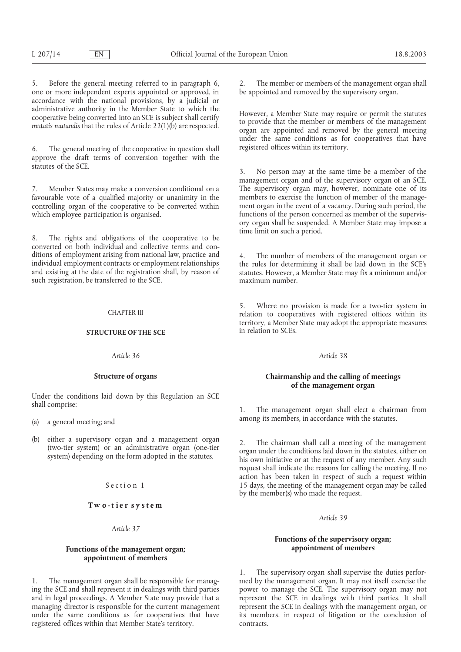5. Before the general meeting referred to in paragraph 6, one or more independent experts appointed or approved, in accordance with the national provisions, by a judicial or administrative authority in the Member State to which the cooperative being converted into an SCE is subject shall certify *mutatis mutandis* that the rules of Article 22(1)(b) are respected.

6. The general meeting of the cooperative in question shall approve the draft terms of conversion together with the statutes of the SCE.

7. Member States may make a conversion conditional on a favourable vote of a qualified majority or unanimity in the controlling organ of the cooperative to be converted within which employee participation is organised.

8. The rights and obligations of the cooperative to be converted on both individual and collective terms and conditions of employment arising from national law, practice and individual employment contracts or employment relationships and existing at the date of the registration shall, by reason of such registration, be transferred to the SCE.

### CHAPTER III

### **STRUCTURE OF THE SCE**

#### *Article 36*

# **Structure of organs**

Under the conditions laid down by this Regulation an SCE shall comprise:

- (a) a general meeting; and
- (b) either a supervisory organ and a management organ (two-tier system) or an administrative organ (one-tier system) depending on the form adopted in the statutes.

### Section 1

## **Two-t ier system**

# *Article 37*

## **Functions of the management organ; appointment of members**

1. The management organ shall be responsible for managing the SCE and shall represent it in dealings with third parties and in legal proceedings. A Member State may provide that a managing director is responsible for the current management under the same conditions as for cooperatives that have registered offices within that Member State's territory.

2. The member or members of the management organ shall be appointed and removed by the supervisory organ.

However, a Member State may require or permit the statutes to provide that the member or members of the management organ are appointed and removed by the general meeting under the same conditions as for cooperatives that have registered offices within its territory.

3. No person may at the same time be a member of the management organ and of the supervisory organ of an SCE. The supervisory organ may, however, nominate one of its members to exercise the function of member of the management organ in the event of a vacancy. During such period, the functions of the person concerned as member of the supervisory organ shall be suspended. A Member State may impose a time limit on such a period.

The number of members of the management organ or the rules for determining it shall be laid down in the SCE's statutes. However, a Member State may fix a minimum and/or maximum number.

5. Where no provision is made for a two-tier system in relation to cooperatives with registered offices within its territory, a Member State may adopt the appropriate measures in relation to SCEs.

#### *Article 38*

# **Chairmanship and the calling of meetings of the management organ**

1. The management organ shall elect a chairman from among its members, in accordance with the statutes.

2. The chairman shall call a meeting of the management organ under the conditions laid down in the statutes, either on his own initiative or at the request of any member. Any such request shall indicate the reasons for calling the meeting. If no action has been taken in respect of such a request within 15 days, the meeting of the management organ may be called by the member(s) who made the request.

### *Article 39*

## **Functions of the supervisory organ; appointment of members**

1. The supervisory organ shall supervise the duties performed by the management organ. It may not itself exercise the power to manage the SCE. The supervisory organ may not represent the SCE in dealings with third parties. It shall represent the SCE in dealings with the management organ, or its members, in respect of litigation or the conclusion of contracts.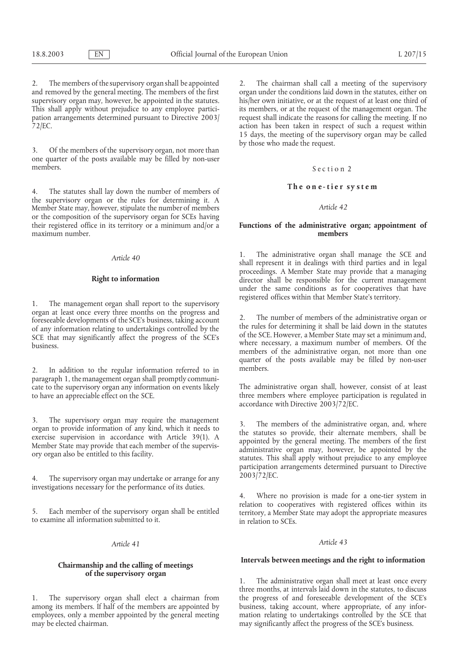2. The members of the supervisory organ shall be appointed and removed by the general meeting. The members of the first supervisory organ may, however, be appointed in the statutes. This shall apply without prejudice to any employee participation arrangements determined pursuant to Directive 2003/ 72/EC.

3. Of the members of the supervisory organ, not more than one quarter of the posts available may be filled by non-user members.

4. The statutes shall lay down the number of members of the supervisory organ or the rules for determining it. A Member State may, however, stipulate the number of members or the composition of the supervisory organ for SCEs having their registered office in its territory or a minimum and/or a maximum number.

## *Article 40*

#### **Right to information**

1. The management organ shall report to the supervisory organ at least once every three months on the progress and foreseeable developments of the SCE's business, taking account of any information relating to undertakings controlled by the SCE that may significantly affect the progress of the SCE's business.

2. In addition to the regular information referred to in paragraph 1, the management organ shall promptly communicate to the supervisory organ any information on events likely to have an appreciable effect on the SCE.

3. The supervisory organ may require the management organ to provide information of any kind, which it needs to exercise supervision in accordance with Article 39(1). A Member State may provide that each member of the supervisory organ also be entitled to this facility.

4. The supervisory organ may undertake or arrange for any investigations necessary for the performance of its duties.

5. Each member of the supervisory organ shall be entitled to examine all information submitted to it.

## *Article 41*

## **Chairmanship and the calling of meetings of the supervisory organ**

1. The supervisory organ shall elect a chairman from among its members. If half of the members are appointed by employees, only a member appointed by the general meeting may be elected chairman.

2. The chairman shall call a meeting of the supervisory organ under the conditions laid down in the statutes, either on his/her own initiative, or at the request of at least one third of its members, or at the request of the management organ. The request shall indicate the reasons for calling the meeting. If no action has been taken in respect of such a request within 15 days, the meeting of the supervisory organ may be called by those who made the request.

# Sec tion 2

# **The on e- tier system**

# *Article 42*

# **Functions of the administrative organ; appointment of members**

1. The administrative organ shall manage the SCE and shall represent it in dealings with third parties and in legal proceedings. A Member State may provide that a managing director shall be responsible for the current management under the same conditions as for cooperatives that have registered offices within that Member State's territory.

2. The number of members of the administrative organ or the rules for determining it shall be laid down in the statutes of the SCE. However, a Member State may set a minimum and, where necessary, a maximum number of members. Of the members of the administrative organ, not more than one quarter of the posts available may be filled by non-user members.

The administrative organ shall, however, consist of at least three members where employee participation is regulated in accordance with Directive 2003/72/EC.

3. The members of the administrative organ, and, where the statutes so provide, their alternate members, shall be appointed by the general meeting. The members of the first administrative organ may, however, be appointed by the statutes. This shall apply without prejudice to any employee participation arrangements determined pursuant to Directive 2003/72/EC.

4. Where no provision is made for a one-tier system in relation to cooperatives with registered offices within its territory, a Member State may adopt the appropriate measures in relation to SCEs.

# *Article 43*

# **Intervals between meetings and the right to information**

1. The administrative organ shall meet at least once every three months, at intervals laid down in the statutes, to discuss the progress of and foreseeable development of the SCE's business, taking account, where appropriate, of any information relating to undertakings controlled by the SCE that may significantly affect the progress of the SCE's business.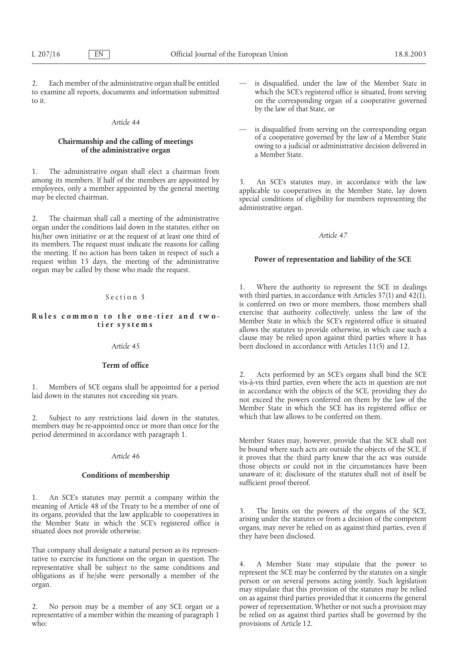2. Each member of the administrative organ shall be entitled to examine all reports, documents and information submitted to it.

### *Article 44*

# **Chairmanship and the calling of meetings of the administrative organ**

1. The administrative organ shall elect a chairman from among its members. If half of the members are appointed by employees, only a member appointed by the general meeting may be elected chairman.

2. The chairman shall call a meeting of the administrative organ under the conditions laid down in the statutes, either on his/her own initiative or at the request of at least one third of its members. The request must indicate the reasons for calling the meeting. If no action has been taken in respect of such a request within 15 days, the meeting of the administrative organ may be called by those who made the request.

# Section 3

### Rules common to the one-tier and two**ti er systems**

# *Article 45*

# **Term of office**

1. Members of SCE organs shall be appointed for a period laid down in the statutes not exceeding six years.

2. Subject to any restrictions laid down in the statutes, members may be re-appointed once or more than once for the period determined in accordance with paragraph 1.

#### *Article 46*

### **Conditions of membership**

1. An SCE's statutes may permit a company within the meaning of Article 48 of the Treaty to be a member of one of its organs, provided that the law applicable to cooperatives in the Member State in which the SCE's registered office is situated does not provide otherwise.

That company shall designate a natural person as its representative to exercise its functions on the organ in question. The representative shall be subject to the same conditions and obligations as if he/she were personally a member of the organ.

2. No person may be a member of any SCE organ or a representative of a member within the meaning of paragraph 1 who:

- is disqualified, under the law of the Member State in which the SCE's registered office is situated, from serving on the corresponding organ of a cooperative governed by the law of that State, or
- is disqualified from serving on the corresponding organ of a cooperative governed by the law of a Member State owing to a judicial or administrative decision delivered in a Member State.

An SCE's statutes may, in accordance with the law applicable to cooperatives in the Member State, lay down special conditions of eligibility for members representing the administrative organ.

# *Article 47*

## **Power of representation and liability of the SCE**

1. Where the authority to represent the SCE in dealings with third parties, in accordance with Articles  $37(1)$  and  $42(1)$ , is conferred on two or more members, those members shall exercise that authority collectively, unless the law of the Member State in which the SCE's registered office is situated allows the statutes to provide otherwise, in which case such a clause may be relied upon against third parties where it has been disclosed in accordance with Articles 11(5) and 12.

2. Acts performed by an SCE's organs shall bind the SCE vis-à-vis third parties, even where the acts in question are not in accordance with the objects of the SCE, providing they do not exceed the powers conferred on them by the law of the Member State in which the SCE has its registered office or which that law allows to be conferred on them.

Member States may, however, provide that the SCE shall not be bound where such acts are outside the objects of the SCE, if it proves that the third party knew that the act was outside those objects or could not in the circumstances have been unaware of it; disclosure of the statutes shall not of itself be sufficient proof thereof.

3. The limits on the powers of the organs of the SCE, arising under the statutes or from a decision of the competent organs, may never be relied on as against third parties, even if they have been disclosed.

4. A Member State may stipulate that the power to represent the SCE may be conferred by the statutes on a single person or on several persons acting jointly. Such legislation may stipulate that this provision of the statutes may be relied on as against third parties provided that it concerns the general power of representation. Whether or not such a provision may be relied on as against third parties shall be governed by the provisions of Article 12.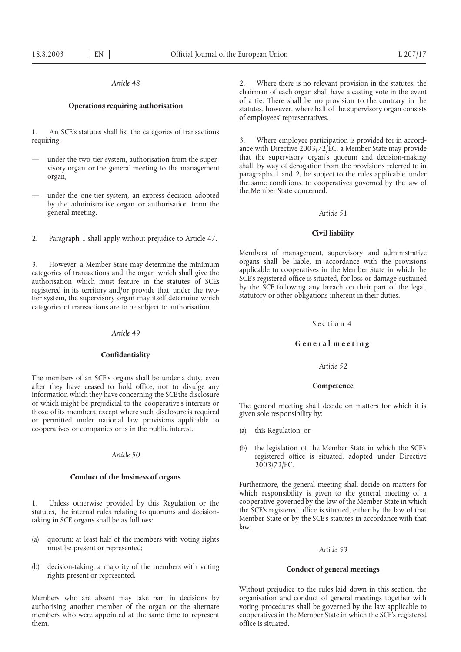# **Operations requiring authorisation**

1. An SCE's statutes shall list the categories of transactions requiring:

- under the two-tier system, authorisation from the supervisory organ or the general meeting to the management organ,
- under the one-tier system, an express decision adopted by the administrative organ or authorisation from the general meeting.
- 2. Paragraph 1 shall apply without prejudice to Article 47.

3. However, a Member State may determine the minimum categories of transactions and the organ which shall give the authorisation which must feature in the statutes of SCEs registered in its territory and/or provide that, under the twotier system, the supervisory organ may itself determine which categories of transactions are to be subject to authorisation.

*Article 49*

# **Confidentiality**

The members of an SCE's organs shall be under a duty, even after they have ceased to hold office, not to divulge any information which they have concerning the SCE the disclosure of which might be prejudicial to the cooperative's interests or those of its members, except where such disclosure is required or permitted under national law provisions applicable to cooperatives or companies or is in the public interest.

### *Article 50*

### **Conduct of the business of organs**

1. Unless otherwise provided by this Regulation or the statutes, the internal rules relating to quorums and decisiontaking in SCE organs shall be as follows:

- (a) quorum: at least half of the members with voting rights must be present or represented;
- (b) decision-taking: a majority of the members with voting rights present or represented.

Members who are absent may take part in decisions by authorising another member of the organ or the alternate members who were appointed at the same time to represent them.

2. Where there is no relevant provision in the statutes, the chairman of each organ shall have a casting vote in the event of a tie. There shall be no provision to the contrary in the statutes, however, where half of the supervisory organ consists of employees' representatives.

3. Where employee participation is provided for in accordance with Directive  $2003/72/\text{EC}$ , a Member State may provide that the supervisory organ's quorum and decision-making shall, by way of derogation from the provisions referred to in paragraphs 1 and 2, be subject to the rules applicable, under the same conditions, to cooperatives governed by the law of the Member State concerned.

## *Article 51*

## **Civil liability**

Members of management, supervisory and administrative organs shall be liable, in accordance with the provisions applicable to cooperatives in the Member State in which the SCE's registered office is situated, for loss or damage sustained by the SCE following any breach on their part of the legal, statutory or other obligations inherent in their duties.

#### Sec tion 4

# **G enera l meeting**

#### *Article 52*

#### **Competence**

The general meeting shall decide on matters for which it is given sole responsibility by:

- (a) this Regulation; or
- (b) the legislation of the Member State in which the SCE's registered office is situated, adopted under Directive 2003/72/EC.

Furthermore, the general meeting shall decide on matters for which responsibility is given to the general meeting of a cooperative governed by the law of the Member State in which the SCE's registered office is situated, either by the law of that Member State or by the SCE's statutes in accordance with that law.

#### *Article 53*

#### **Conduct of general meetings**

Without prejudice to the rules laid down in this section, the organisation and conduct of general meetings together with voting procedures shall be governed by the law applicable to cooperatives in the Member State in which the SCE's registered office is situated.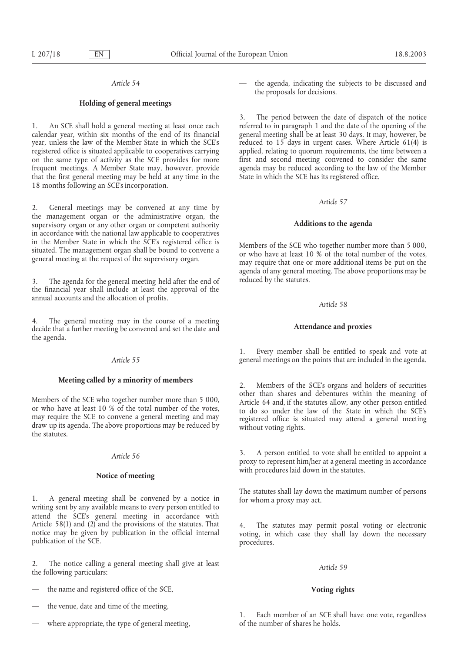# **Holding of general meetings**

1. An SCE shall hold a general meeting at least once each calendar year, within six months of the end of its financial year, unless the law of the Member State in which the SCE's registered office is situated applicable to cooperatives carrying on the same type of activity as the SCE provides for more frequent meetings. A Member State may, however, provide that the first general meeting may be held at any time in the 18 months following an SCE's incorporation.

2. General meetings may be convened at any time by the management organ or the administrative organ, the supervisory organ or any other organ or competent authority in accordance with the national law applicable to cooperatives in the Member State in which the SCE's registered office is situated. The management organ shall be bound to convene a general meeting at the request of the supervisory organ.

The agenda for the general meeting held after the end of the financial year shall include at least the approval of the annual accounts and the allocation of profits.

The general meeting may in the course of a meeting decide that a further meeting be convened and set the date and the agenda.

### *Article 55*

#### **Meeting called by a minority of members**

Members of the SCE who together number more than 5 000, or who have at least 10 % of the total number of the votes, may require the SCE to convene a general meeting and may draw up its agenda. The above proportions may be reduced by the statutes.

#### *Article 56*

#### **Notice of meeting**

1. A general meeting shall be convened by a notice in writing sent by any available means to every person entitled to attend the SCE's general meeting in accordance with Article 58(1) and (2) and the provisions of the statutes. That notice may be given by publication in the official internal publication of the SCE.

2. The notice calling a general meeting shall give at least the following particulars:

- the name and registered office of the SCE,
- the venue, date and time of the meeting,
- where appropriate, the type of general meeting,

the agenda, indicating the subjects to be discussed and the proposals for decisions.

3. The period between the date of dispatch of the notice referred to in paragraph 1 and the date of the opening of the general meeting shall be at least 30 days. It may, however, be reduced to  $15^{\circ}$  days in urgent cases. Where Article 61(4) is applied, relating to quorum requirements, the time between a first and second meeting convened to consider the same agenda may be reduced according to the law of the Member State in which the SCE has its registered office.

#### *Article 57*

# **Additions to the agenda**

Members of the SCE who together number more than 5 000, or who have at least 10 % of the total number of the votes, may require that one or more additional items be put on the agenda of any general meeting. The above proportions may be reduced by the statutes.

# *Article 58*

## **Attendance and proxies**

1. Every member shall be entitled to speak and vote at general meetings on the points that are included in the agenda.

2. Members of the SCE's organs and holders of securities other than shares and debentures within the meaning of Article 64 and, if the statutes allow, any other person entitled to do so under the law of the State in which the SCE's registered office is situated may attend a general meeting without voting rights.

3. A person entitled to vote shall be entitled to appoint a proxy to represent him/her at a general meeting in accordance with procedures laid down in the statutes.

The statutes shall lay down the maximum number of persons for whom a proxy may act.

The statutes may permit postal voting or electronic voting, in which case they shall lay down the necessary procedures.

### *Article 59*

## **Voting rights**

1. Each member of an SCE shall have one vote, regardless of the number of shares he holds.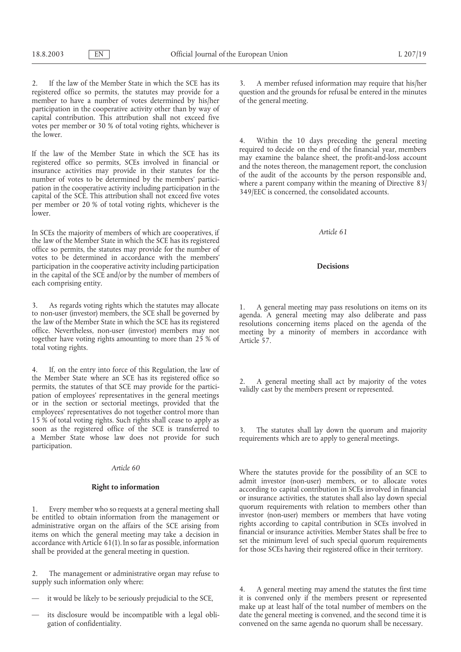2. If the law of the Member State in which the SCE has its registered office so permits, the statutes may provide for a member to have a number of votes determined by his/her participation in the cooperative activity other than by way of capital contribution. This attribution shall not exceed five votes per member or 30 % of total voting rights, whichever is the lower.

If the law of the Member State in which the SCE has its registered office so permits, SCEs involved in financial or insurance activities may provide in their statutes for the number of votes to be determined by the members' participation in the cooperative activity including participation in the capital of the SCE. This attribution shall not exceed five votes per member or 20 % of total voting rights, whichever is the lower.

In SCEs the majority of members of which are cooperatives, if the law of the Member State in which the SCE has its registered office so permits, the statutes may provide for the number of votes to be determined in accordance with the members' participation in the cooperative activity including participation in the capital of the SCE and/or by the number of members of each comprising entity.

3. As regards voting rights which the statutes may allocate to non-user (investor) members, the SCE shall be governed by the law of the Member State in which the SCE has its registered office. Nevertheless, non-user (investor) members may not together have voting rights amounting to more than 25 % of total voting rights.

4. If, on the entry into force of this Regulation, the law of the Member State where an SCE has its registered office so permits, the statutes of that SCE may provide for the participation of employees' representatives in the general meetings or in the section or sectorial meetings, provided that the employees' representatives do not together control more than 15 % of total voting rights. Such rights shall cease to apply as soon as the registered office of the SCE is transferred to a Member State whose law does not provide for such participation.

### *Article 60*

# **Right to information**

1. Every member who so requests at a general meeting shall be entitled to obtain information from the management or administrative organ on the affairs of the SCE arising from items on which the general meeting may take a decision in accordance with Article 61(1). In so far as possible, information shall be provided at the general meeting in question.

2. The management or administrative organ may refuse to supply such information only where:

- it would be likely to be seriously prejudicial to the SCE,
- its disclosure would be incompatible with a legal obligation of confidentiality.

3. A member refused information may require that his/her question and the grounds for refusal be entered in the minutes of the general meeting.

4. Within the 10 days preceding the general meeting required to decide on the end of the financial year, members may examine the balance sheet, the profit-and-loss account and the notes thereon, the management report, the conclusion of the audit of the accounts by the person responsible and, where a parent company within the meaning of Directive 83/ 349/EEC is concerned, the consolidated accounts.

#### *Article 61*

# **Decisions**

1. A general meeting may pass resolutions on items on its agenda. A general meeting may also deliberate and pass resolutions concerning items placed on the agenda of the meeting by a minority of members in accordance with Article 57.

2. A general meeting shall act by majority of the votes validly cast by the members present or represented.

The statutes shall lay down the quorum and majority requirements which are to apply to general meetings.

Where the statutes provide for the possibility of an SCE to admit investor (non-user) members, or to allocate votes according to capital contribution in SCEs involved in financial or insurance activities, the statutes shall also lay down special quorum requirements with relation to members other than investor (non-user) members or members that have voting rights according to capital contribution in SCEs involved in financial or insurance activities. Member States shall be free to set the minimum level of such special quorum requirements for those SCEs having their registered office in their territory.

4. A general meeting may amend the statutes the first time it is convened only if the members present or represented make up at least half of the total number of members on the date the general meeting is convened, and the second time it is convened on the same agenda no quorum shall be necessary.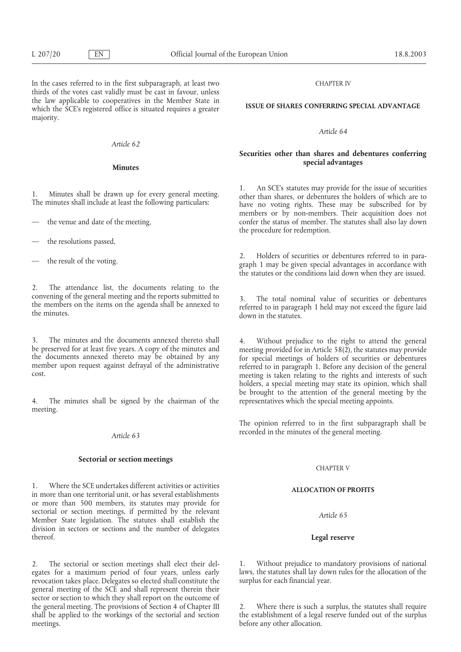In the cases referred to in the first subparagraph, at least two thirds of the votes cast validly must be cast in favour, unless the law applicable to cooperatives in the Member State in which the SCE's registered office is situated requires a greater majority.

# *Article 62*

# **Minutes**

Minutes shall be drawn up for every general meeting. The minutes shall include at least the following particulars:

the venue and date of the meeting,

the resolutions passed,

the result of the voting.

2. The attendance list, the documents relating to the convening of the general meeting and the reports submitted to the members on the items on the agenda shall be annexed to the minutes.

3. The minutes and the documents annexed thereto shall be preserved for at least five years. A copy of the minutes and the documents annexed thereto may be obtained by any member upon request against defrayal of the administrative cost.

4. The minutes shall be signed by the chairman of the meeting.

# *Article 63*

## **Sectorial or section meetings**

1. Where the SCE undertakes different activities or activities in more than one territorial unit, or has several establishments or more than 500 members, its statutes may provide for sectorial or section meetings, if permitted by the relevant Member State legislation. The statutes shall establish the division in sectors or sections and the number of delegates thereof.

2. The sectorial or section meetings shall elect their delegates for a maximum period of four years, unless early revocation takes place. Delegates so elected shall constitute the general meeting of the SCE and shall represent therein their sector or section to which they shall report on the outcome of the general meeting. The provisions of Section 4 of Chapter III shall be applied to the workings of the sectorial and section meetings.

# CHAPTER IV

#### **ISSUE OF SHARES CONFERRING SPECIAL ADVANTAGE**

# *Article 64*

# **Securities other than shares and debentures conferring special advantages**

1. An SCE's statutes may provide for the issue of securities other than shares, or debentures the holders of which are to have no voting rights. These may be subscribed for by members or by non-members. Their acquisition does not confer the status of member. The statutes shall also lay down the procedure for redemption.

Holders of securities or debentures referred to in paragraph 1 may be given special advantages in accordance with the statutes or the conditions laid down when they are issued.

The total nominal value of securities or debentures referred to in paragraph 1 held may not exceed the figure laid down in the statutes.

4. Without prejudice to the right to attend the general meeting provided for in Article 58(2), the statutes may provide for special meetings of holders of securities or debentures referred to in paragraph 1. Before any decision of the general meeting is taken relating to the rights and interests of such holders, a special meeting may state its opinion, which shall be brought to the attention of the general meeting by the representatives which the special meeting appoints.

The opinion referred to in the first subparagraph shall be recorded in the minutes of the general meeting.

### CHAPTER V

# **ALLOCATION OF PROFITS**

### *Article 65*

# **Legal reserve**

1. Without prejudice to mandatory provisions of national laws, the statutes shall lay down rules for the allocation of the surplus for each financial year.

2. Where there is such a surplus, the statutes shall require the establishment of a legal reserve funded out of the surplus before any other allocation.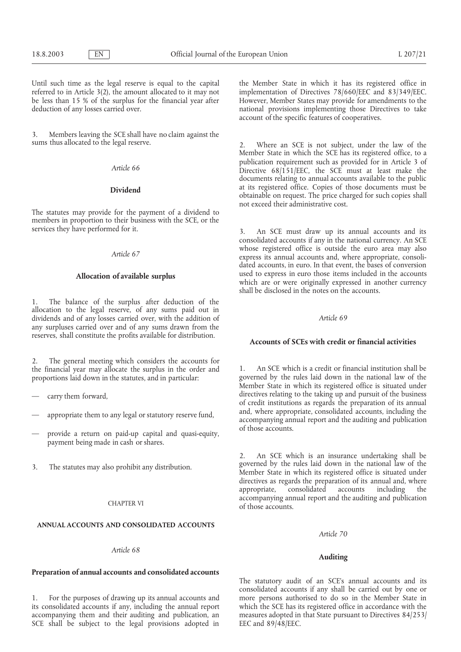Until such time as the legal reserve is equal to the capital referred to in Article 3(2), the amount allocated to it may not be less than 15 % of the surplus for the financial year after deduction of any losses carried over.

3. Members leaving the SCE shall have no claim against the sums thus allocated to the legal reserve.

# *Article 66*

## **Dividend**

The statutes may provide for the payment of a dividend to members in proportion to their business with the SCE, or the services they have performed for it.

#### *Article 67*

## **Allocation of available surplus**

1. The balance of the surplus after deduction of the allocation to the legal reserve, of any sums paid out in dividends and of any losses carried over, with the addition of any surpluses carried over and of any sums drawn from the reserves, shall constitute the profits available for distribution.

2. The general meeting which considers the accounts for the financial year may allocate the surplus in the order and proportions laid down in the statutes, and in particular:

- carry them forward,
- appropriate them to any legal or statutory reserve fund,
- provide a return on paid-up capital and quasi-equity, payment being made in cash or shares.
- 3. The statutes may also prohibit any distribution.

#### CHAPTER VI

# **ANNUAL ACCOUNTS AND CONSOLIDATED ACCOUNTS**

#### *Article 68*

# **Preparation of annual accounts and consolidated accounts**

1. For the purposes of drawing up its annual accounts and its consolidated accounts if any, including the annual report accompanying them and their auditing and publication, an SCE shall be subject to the legal provisions adopted in

the Member State in which it has its registered office in implementation of Directives 78/660/EEC and 83/349/EEC. However, Member States may provide for amendments to the national provisions implementing those Directives to take account of the specific features of cooperatives.

2. Where an SCE is not subject, under the law of the Member State in which the SCE has its registered office, to a publication requirement such as provided for in Article 3 of Directive  $68/151/EEC$ , the SCE must at least make the documents relating to annual accounts available to the public at its registered office. Copies of those documents must be obtainable on request. The price charged for such copies shall not exceed their administrative cost.

3. An SCE must draw up its annual accounts and its consolidated accounts if any in the national currency. An SCE whose registered office is outside the euro area may also express its annual accounts and, where appropriate, consolidated accounts, in euro. In that event, the bases of conversion used to express in euro those items included in the accounts which are or were originally expressed in another currency shall be disclosed in the notes on the accounts.

# *Article 69*

# **Accounts of SCEs with credit or financial activities**

1. An SCE which is a credit or financial institution shall be governed by the rules laid down in the national law of the Member State in which its registered office is situated under directives relating to the taking up and pursuit of the business of credit institutions as regards the preparation of its annual and, where appropriate, consolidated accounts, including the accompanying annual report and the auditing and publication of those accounts.

2. An SCE which is an insurance undertaking shall be governed by the rules laid down in the national law of the Member State in which its registered office is situated under directives as regards the preparation of its annual and, where<br>appropriate. consolidated accounts including the  $\check{\phantom{\phi}}$  consolidated accompanying annual report and the auditing and publication of those accounts.

#### *Article 70*

## **Auditing**

The statutory audit of an SCE's annual accounts and its consolidated accounts if any shall be carried out by one or more persons authorised to do so in the Member State in which the SCE has its registered office in accordance with the measures adopted in that State pursuant to Directives 84/253/ EEC and 89/48/EEC.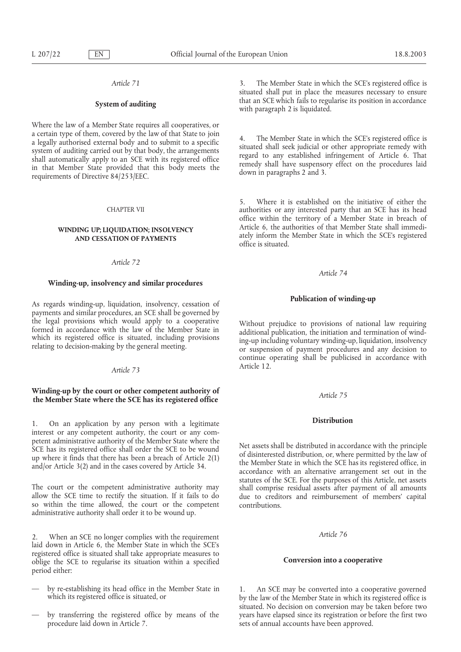# **System of auditing**

Where the law of a Member State requires all cooperatives, or a certain type of them, covered by the law of that State to join a legally authorised external body and to submit to a specific system of auditing carried out by that body, the arrangements shall automatically apply to an SCE with its registered office in that Member State provided that this body meets the requirements of Directive 84/253/EEC.

## CHAPTER VII

## **WINDING UP; LIQUIDATION; INSOLVENCY AND CESSATION OF PAYMENTS**

#### *Article 72*

## **Winding-up, insolvency and similar procedures**

As regards winding-up, liquidation, insolvency, cessation of payments and similar procedures, an SCE shall be governed by the legal provisions which would apply to a cooperative formed in accordance with the law of the Member State in which its registered office is situated, including provisions relating to decision-making by the general meeting.

## *Article 73*

## **Winding-up by the court or other competent authority of the Member State where the SCE has its registered office**

1. On an application by any person with a legitimate interest or any competent authority, the court or any competent administrative authority of the Member State where the SCE has its registered office shall order the SCE to be wound up where it finds that there has been a breach of Article 2(1) and/or Article 3(2) and in the cases covered by Article 34.

The court or the competent administrative authority may allow the SCE time to rectify the situation. If it fails to do so within the time allowed, the court or the competent administrative authority shall order it to be wound up.

2. When an SCE no longer complies with the requirement laid down in Article 6, the Member State in which the SCE's registered office is situated shall take appropriate measures to oblige the SCE to regularise its situation within a specified period either:

- by re-establishing its head office in the Member State in which its registered office is situated, or
- by transferring the registered office by means of the procedure laid down in Article 7.

3. The Member State in which the SCE's registered office is situated shall put in place the measures necessary to ensure that an SCE which fails to regularise its position in accordance with paragraph 2 is liquidated.

4. The Member State in which the SCE's registered office is situated shall seek judicial or other appropriate remedy with regard to any established infringement of Article 6. That remedy shall have suspensory effect on the procedures laid down in paragraphs 2 and 3.

5. Where it is established on the initiative of either the authorities or any interested party that an SCE has its head office within the territory of a Member State in breach of Article 6, the authorities of that Member State shall immediately inform the Member State in which the SCE's registered office is situated.

#### *Article 74*

## **Publication of winding-up**

Without prejudice to provisions of national law requiring additional publication, the initiation and termination of winding-up including voluntary winding-up, liquidation, insolvency or suspension of payment procedures and any decision to continue operating shall be publicised in accordance with Article 12.

## *Article 75*

# **Distribution**

Net assets shall be distributed in accordance with the principle of disinterested distribution, or, where permitted by the law of the Member State in which the SCE has its registered office, in accordance with an alternative arrangement set out in the statutes of the SCE. For the purposes of this Article, net assets shall comprise residual assets after payment of all amounts due to creditors and reimbursement of members' capital contributions.

#### *Article 76*

#### **Conversion into a cooperative**

1. An SCE may be converted into a cooperative governed by the law of the Member State in which its registered office is situated. No decision on conversion may be taken before two years have elapsed since its registration or before the first two sets of annual accounts have been approved.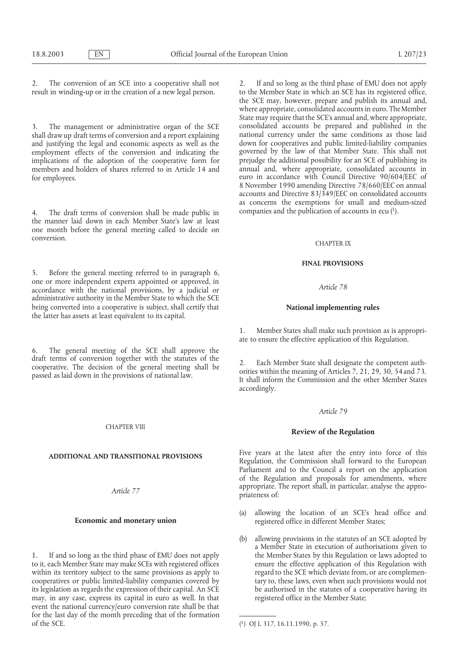2. The conversion of an SCE into a cooperative shall not result in winding-up or in the creation of a new legal person.

3. The management or administrative organ of the SCE shall draw up draft terms of conversion and a report explaining and justifying the legal and economic aspects as well as the employment effects of the conversion and indicating the implications of the adoption of the cooperative form for members and holders of shares referred to in Article 14 and for employees.

4. The draft terms of conversion shall be made public in the manner laid down in each Member State's law at least one month before the general meeting called to decide on conversion.

5. Before the general meeting referred to in paragraph 6, one or more independent experts appointed or approved, in accordance with the national provisions, by a judicial or administrative authority in the Member State to which the SCE being converted into a cooperative is subject, shall certify that the latter has assets at least equivalent to its capital.

6. The general meeting of the SCE shall approve the draft terms of conversion together with the statutes of the cooperative. The decision of the general meeting shall be passed as laid down in the provisions of national law.

#### CHAPTER VIII

#### **ADDITIONAL AND TRANSITIONAL PROVISIONS**

*Article 77*

#### **Economic and monetary union**

1. If and so long as the third phase of EMU does not apply to it, each Member State may make SCEs with registered offices within its territory subject to the same provisions as apply to cooperatives or public limited-liability companies covered by its legislation as regards the expression of their capital. An SCE may, in any case, express its capital in euro as well. In that event the national currency/euro conversion rate shall be that for the last day of the month preceding that of the formation of the SCE.

2. If and so long as the third phase of EMU does not apply to the Member State in which an SCE has its registered office, the SCE may, however, prepare and publish its annual and, where appropriate, consolidated accounts in euro. The Member State may require that the SCE's annual and, where appropriate, consolidated accounts be prepared and published in the national currency under the same conditions as those laid down for cooperatives and public limited-liability companies governed by the law of that Member State. This shall not prejudge the additional possibility for an SCE of publishing its annual and, where appropriate, consolidated accounts in euro in accordance with Council Directive 90/604/EEC of 8 November 1990 amending Directive 78/660/EEC on annual accounts and Directive 83/349/EEC on consolidated accounts as concerns the exemptions for small and medium-sized companies and the publication of accounts in ecu  $(1)$ .

#### CHAPTER IX

#### **FINAL PROVISIONS**

#### *Article 78*

#### **National implementing rules**

1. Member States shall make such provision as is appropriate to ensure the effective application of this Regulation.

Each Member State shall designate the competent authorities within the meaning of Articles 7, 21, 29, 30, 54 and 73. It shall inform the Commission and the other Member States accordingly.

## *Article 79*

#### **Review of the Regulation**

Five years at the latest after the entry into force of this Regulation, the Commission shall forward to the European Parliament and to the Council a report on the application of the Regulation and proposals for amendments, where appropriate. The report shall, in particular, analyse the appropriateness of:

- (a) allowing the location of an SCE's head office and registered office in different Member States;
- (b) allowing provisions in the statutes of an SCE adopted by a Member State in execution of authorisations given to the Member States by this Regulation or laws adopted to ensure the effective application of this Regulation with regard to the SCE which deviate from, or are complementary to, these laws, even when such provisions would not be authorised in the statutes of a cooperative having its registered office in the Member State;

<sup>(1)</sup> OJ L 317, 16.11.1990, p. 57.